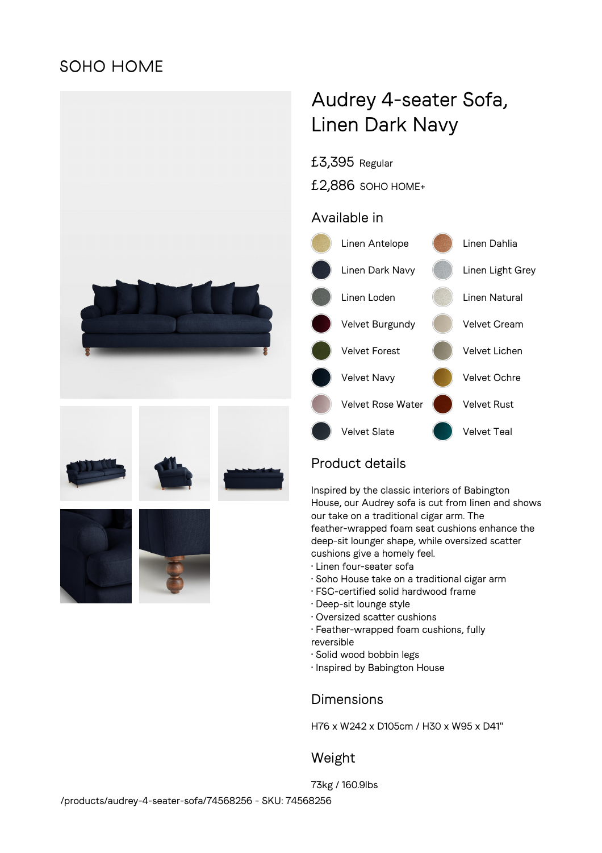## **SOHO HOME**







# Audrey 4-seater Sofa, Linen Dark Navy

#### £3,395 Regular

£2,886 SOHO HOME+

#### Available in



### Product details

Inspired by the classic interiors of Babington House, our Audrey sofa is cut from linen and shows our take on a traditional cigar arm. The feather-wrapped foam seat cushions enhance the deep-sit lounger shape, while oversized scatter cushions give a homely feel.

- Linen four-seater sofa
- Soho House take on a traditional cigar arm
- FSC-certified solid hardwood frame
- Deep-sit lounge style
- Oversized scatter cushions
- Feather-wrapped foam cushions, fully reversible
- Solid wood bobbin legs
- Inspired by Babington House

### **Dimensions**

H76 x W242 x D105cm / H30 x W95 x D41"

### Weight

73kg / 160.9lbs